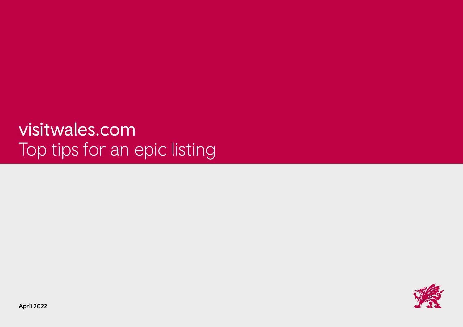# [visitwales.com](http://visitwales.com) Top tips for an epic listing



April 2022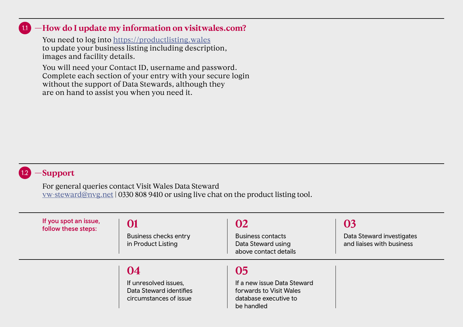#### 1.1 **—How do I update my information on [visitwales.com?](http://visitwales.com?)**

You need to log into <https://productlisting.wales> to update your business listing including description, images and facility details.

 You will need your Contact ID, username and password. Complete each section of your entry with your secure login without the support of Data Stewards, although they are on hand to assist you when you need it.

## 1.2 **—Support**

For general queries contact Visit Wales Data Steward [vw-steward@nvg.net](mailto:vw-steward%40nvg.net?subject=) | 0330 808 9410 or using live chat on the product listing tool.

| If you spot an issue,<br>follow these steps: | 01<br>Business checks entry<br>in Product Listing                                | 02<br><b>Business contacts</b><br>Data Steward using<br>above contact details                       | 03<br>Data Steward investigates<br>and liaises with business |
|----------------------------------------------|----------------------------------------------------------------------------------|-----------------------------------------------------------------------------------------------------|--------------------------------------------------------------|
|                                              | 04<br>If unresolved issues,<br>Data Steward identifies<br>circumstances of issue | 05<br>If a new issue Data Steward<br>forwards to Visit Wales<br>database executive to<br>be handled |                                                              |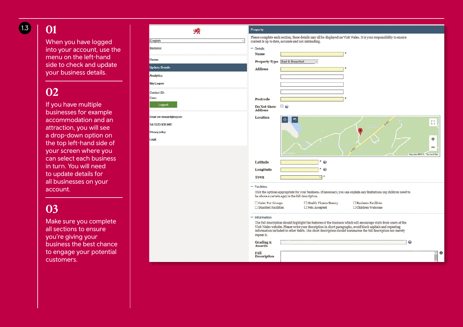# 1.3 **01**

When you have logged into your account, use the menu on the left-hand side to check and update your business details.

# **02**

If you have multiple businesses for example accommodation and an attraction, you will see a drop-down option on the top left-hand side of your screen where you can select each business in turn. You will need to update details for all businesses on your account.

# **03**

Make sure you complete all sections to ensure you're giving your business the best chance to engage your potential customers.

| 嗓                         | Proporty                                                                                                                                                                                                                                 |
|---------------------------|------------------------------------------------------------------------------------------------------------------------------------------------------------------------------------------------------------------------------------------|
| English<br>Ŵ              | Please complete each section, these details may all be displayed on Visit Wales. It is your responsibility to ensure<br>content is up to date, accurate and not misleading.                                                              |
| <b>Business:</b>          | $-$ Details                                                                                                                                                                                                                              |
| Home                      | Name<br>Bed & Breakfast<br><b>Property Type</b><br>$\sim$                                                                                                                                                                                |
| <b>Update Details</b>     | <b>Address</b>                                                                                                                                                                                                                           |
| Analytics                 |                                                                                                                                                                                                                                          |
| My Logon                  |                                                                                                                                                                                                                                          |
| Contact ID:               |                                                                                                                                                                                                                                          |
| User:                     | Postcode                                                                                                                                                                                                                                 |
| Logout                    | $\Box$ 2<br>Do Not Show<br><b>Address</b>                                                                                                                                                                                                |
| Email: vw-steward@nvg.net | Location                                                                                                                                                                                                                                 |
| Tel: 0330 808 9410        | $\ddot{\circ}$<br>◠<br>r 1<br>A-167<br>$\mathbf{L}$ , $\mathbf{J}$<br>Dinog                                                                                                                                                              |
| Privacy policy            |                                                                                                                                                                                                                                          |
| Legal                     | ÷                                                                                                                                                                                                                                        |
|                           | -<br><b>PART</b>                                                                                                                                                                                                                         |
|                           | Songle<br>Map deta @2019 Terris of Use                                                                                                                                                                                                   |
|                           | $*$ $\odot$<br>Latitude                                                                                                                                                                                                                  |
|                           | $\boldsymbol{\Omega}$<br>Longitude                                                                                                                                                                                                       |
|                           | <b>Town</b><br>$\vee$                                                                                                                                                                                                                    |
|                           | $-$ Facilities                                                                                                                                                                                                                           |
|                           | Tick the options appropriate for your business. If necessary, you can explain any limitations (eg children need to<br>he above a certain age) in the full description.                                                                   |
|                           | □ Health Fitness Beauty<br>Caler For Groups<br>$\square$ Business Facilities<br>$\Box$ Disabled Facilities<br>$\Box$ Pets Accepted<br>$\Box$ Children Welcome                                                                            |
|                           |                                                                                                                                                                                                                                          |
|                           | $-$ Information<br>The full description should highlight the features of the business which will encourage visits from users of the                                                                                                      |
|                           | Visit Wales website. Please write your description in short paragraphs, avoid block capitals and repeating<br>information included in other fields. The short description should summarise the full description not merely<br>repeat it. |
|                           | 0<br>Grading &<br>Awards                                                                                                                                                                                                                 |
|                           | Full<br>A<br><b>Description</b>                                                                                                                                                                                                          |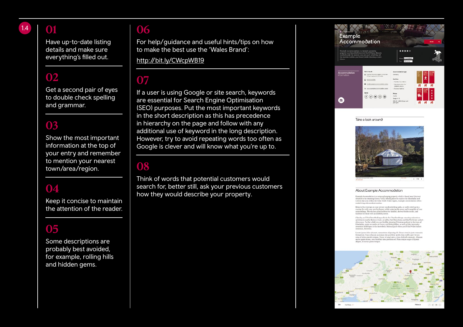# 1.4 **01**

Have up-to-date listing details and make sure everything's filled out.

## **02**

Get a second pair of eyes to double check spelling and grammar.

# **03**

Show the most important information at the top of your entry and remember to mention your nearest town/area/region.

## **04**

Keep it concise to maintain the attention of the reader.

# **05**

Some descriptions are probably best avoided, for example, rolling hills and hidden gems.

#### **06**

For help/guidance and useful hints/tips on how to make the best use the 'Wales Brand':

<http://bit.ly/CWcpWB19>

# **07**

If a user is using Google or site search, keywords are essential for Search Engine Optimisation (SEO) purposes. Put the most important keywords in the short description as this has precedence in hierarchy on the page and follow with any additional use of keyword in the long description. However, try to avoid repeating words too often as Google is clever and will know what you're up to.

#### **08**

Think of words that potential customers would search for, better still, ask your previous customers how they would describe your property.

| <b>Example</b>                                         | Accommodation                                                                                                                                                                       |                                                                                                                                                         | <b>Book</b>  |
|--------------------------------------------------------|-------------------------------------------------------------------------------------------------------------------------------------------------------------------------------------|---------------------------------------------------------------------------------------------------------------------------------------------------------|--------------|
| Example Accommodation is a fantastic glamping<br>charm | property near beautifull Llanewst, North Wales. Sleep in<br>comfort under the stars in your own yert, which has all<br>the modern facilities you'll need whilst retaining a rustic  | <b><i><u>DIAMONST</u></i></b><br>Where<br>Glangery                                                                                                      |              |
| Accommodation<br>information                           | <b>Get in teuch</b><br>@ Exerge Accommodator, Healther-<br>V Car. Lishnest LLCC ANA<br>$D$ 07000123455<br>adulteranglescommodation.nakes<br>to an an expression of the annual state | Accommodation type<br><b>Clamping</b><br>Facilities<br>· Partition by children<br>· Special provision for<br>disabled visitors.<br>· Business factities | 一波<br>表<br>焼 |
| m                                                      | Secial<br>$\textcircled{\scriptsize{1}}\textcircled{\scriptsize{2}}\textcircled{\scriptsize{3}}\textcircled{\scriptsize{4}}$                                                        | <b>Prices</b><br><b>Xunits</b><br>Steeps 4-B<br>£55.00 - £130.00 per unit<br>per nicht.                                                                 | 乘 乘 魂        |

#### Take a look around



#### About Example Accommodation

Example Accomodation is a unique glamping property which is based near Llantwo situated in the stunning Comey Valley. Ideally placed to explore the Llandudno and<br>Colwyn Bae area within the wider North Wales region, Example Accomodation offer rustic living with modern touches.

Relax in the evenings on your private wooden decking patio, or cosily ewith up to a coaring fire with your own log burner whilst enjoying the proce and tranquility of your surreconfings. The site has great facilities for

Close by you? If and be<br>collecting wells in the Cleveland Rose are must increase and<br>between a model in a model place  $\gamma$ . Conclusions, and<br> $\gamma$  is a model of the expected in the stars in the stars<br>in the lower place of

Lorem insum dolor sit amet, consectetur adipiscing elit. Don ovem i punu dolor sit anat, consoctetur adipicaing elli. Donoc et mi is justo veresure.<br>renentram. Fusce aligaam accumsan dui, portifor iaculis risus millis eggt. In 1001<br>ma at lectus gravida tempus. Donoc sit anaet ante a

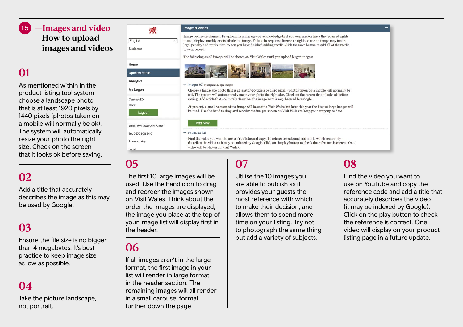#### 1.5 **—Images and video How to upload images and videos**

# **01**

As mentioned within in the product listing tool system choose a landscape photo that is at least 1920 pixels by 1440 pixels (photos taken on a mobile will normally be ok). The system will automatically resize your photo the right size. Check on the screen that it looks ok before saving.

# **02**

Add a title that accurately describes the image as this may be used by Google.

# **03**

Ensure the file size is no bigger than 4 megabytes. It's best practice to keep image size as low as possible.

# **04**

Take the picture landscape, not portrait.

| 78                       | Images & Videos                                                                                                                                                                                                                                                      |  |  |
|--------------------------|----------------------------------------------------------------------------------------------------------------------------------------------------------------------------------------------------------------------------------------------------------------------|--|--|
| English                  | Image license disclaimer: By uploading an image you acknowledge that you own and/or have the required rights<br>to use, display, modify or distribute the image. Failure to acquire a license or rights to use an image may incur a                                  |  |  |
| Business:                | legal penalty and retribution. When you have finished adding media, click the Save button to add all of the media<br>to your record.                                                                                                                                 |  |  |
|                          | The following small images will be shown on Visit Wales until you upload larger images:                                                                                                                                                                              |  |  |
| <b>Home</b>              |                                                                                                                                                                                                                                                                      |  |  |
| Jpoate Details           |                                                                                                                                                                                                                                                                      |  |  |
| Analytics                | $-$ Images (O) $_{1920px}$ x $_{1440px}$ images                                                                                                                                                                                                                      |  |  |
| My Logon                 | Choose a landscape photo that is at least 1920 pixels by 1440 pixels (photos taken on a mobile will normally be<br>ok). The system will automatically make your photo the right size. Check on the screen that it looks ok before                                    |  |  |
| Contact ID:              | saving. Add a title that accurately describes the image as this may be used by Google.                                                                                                                                                                               |  |  |
| Jser:                    | At present, a small version of the image will be sent to Visit Wales but later this year the first 10 large images will<br>be used. Use the hand to drag and reorder the images shown on Visit Wales to keep your entry up to date.                                  |  |  |
| Logout                   |                                                                                                                                                                                                                                                                      |  |  |
| mail: vw-steward@nvg.net | Add New                                                                                                                                                                                                                                                              |  |  |
| Fel: 0330 808 9410       | $-$ YouTube (0)                                                                                                                                                                                                                                                      |  |  |
| Privacy policy<br>anal   | Find the video you want to use on YouTube and copy the reference code and add a title which accurately<br>describes the video as it may be indexed by Google. Click on the play button to check the reference is correct. One<br>video will be shown on Visit Wales. |  |  |

#### **05**

The first 10 large images will be used. Use the hand icon to drag and reorder the images shown on Visit Wales. Think about the order the images are displayed, the image you place at the top of your image list will display first in the header.

## **06**

If all images aren't in the large format, the first image in your list will render in large format in the header section. The remaining images will all render in a small carousel format further down the page.

# **07**

Utilise the 10 images you are able to publish as it provides your guests the most reference with which to make their decision, and allows them to spend more time on your listing. Try not to photograph the same thing but add a variety of subjects.

# **08**

Find the video you want to use on YouTube and copy the reference code and add a title that accurately describes the video (it may be indexed by Google). Click on the play button to check the reference is correct. One video will display on your product listing page in a future update.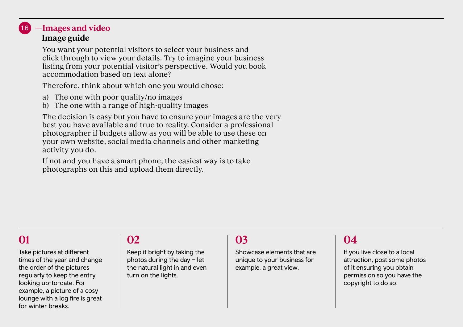#### **—Images and video Image guide** 1.6

You want your potential visitors to select your business and click through to view your details. Try to imagine your business listing from your potential visitor's perspective. Would you book accommodation based on text alone?

Therefore, think about which one you would chose:

- a) The one with poor quality/no images
- b) The one with a range of high-quality images

 The decision is easy but you have to ensure your images are the very best you have available and true to reality. Consider a professional photographer if budgets allow as you will be able to use these on your own website, social media channels and other marketing activity you do.

 If not and you have a smart phone, the easiest way is to take photographs on this and upload them directly.

# **01**

Take pictures at different times of the year and change the order of the pictures regularly to keep the entry looking up-to-date. For example, a picture of a cosy lounge with a log fire is great for winter breaks.

# **02**

Keep it bright by taking the photos during the day – let the natural light in and even turn on the lights.

# **03**

Showcase elements that are unique to your business for example, a great view.

# **04**

If you live close to a local attraction, post some photos of it ensuring you obtain permission so you have the copyright to do so.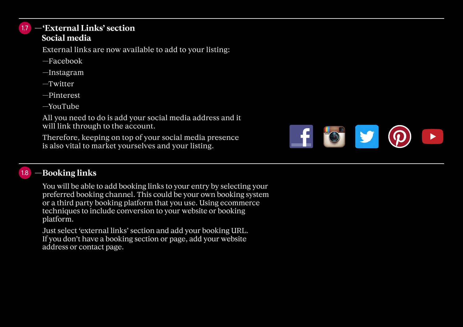#### 1.7 **—'External Links' section Social media**

External links are now available to add to your listing:

- —Facebook
- —Instagram
- —Twitter
- —Pinterest
- —YouTube

 All you need to do is add your social media address and it will link through to the account.

 Therefore, keeping on top of your social media presence is also vital to market yourselves and your listing.



#### **—Booking links**  1.8

You will be able to add booking links to your entry by selecting your preferred booking channel. This could be your own booking system or a third party booking platform that you use. Using ecommerce techniques to include conversion to your website or booking platform.

 Just select 'external links' section and add your booking URL. If you don't have a booking section or page, add your website address or contact page.